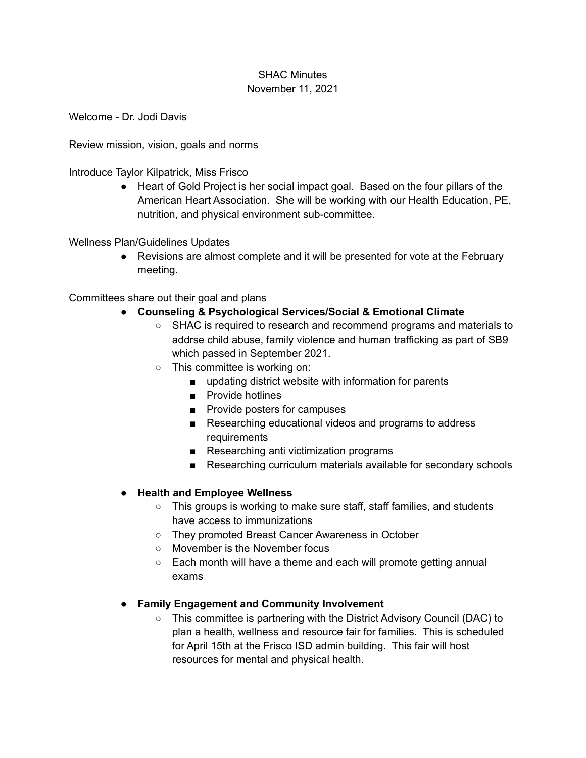## SHAC Minutes November 11, 2021

Welcome - Dr. Jodi Davis

Review mission, vision, goals and norms

Introduce Taylor Kilpatrick, Miss Frisco

● Heart of Gold Project is her social impact goal. Based on the four pillars of the American Heart Association. She will be working with our Health Education, PE, nutrition, and physical environment sub-committee.

Wellness Plan/Guidelines Updates

● Revisions are almost complete and it will be presented for vote at the February meeting.

Committees share out their goal and plans

- **● Counseling & Psychological Services/Social & Emotional Climate**
	- SHAC is required to research and recommend programs and materials to addrse child abuse, family violence and human trafficking as part of SB9 which passed in September 2021.
	- This committee is working on:
		- updating district website with information for parents
		- Provide hotlines
		- Provide posters for campuses
		- Researching educational videos and programs to address requirements
		- Researching anti victimization programs
		- Researching curriculum materials available for secondary schools

## **● Health and Employee Wellness**

- This groups is working to make sure staff, staff families, and students have access to immunizations
- They promoted Breast Cancer Awareness in October
- Movember is the November focus
- Each month will have a theme and each will promote getting annual exams

## **● Family Engagement and Community Involvement**

○ This committee is partnering with the District Advisory Council (DAC) to plan a health, wellness and resource fair for families. This is scheduled for April 15th at the Frisco ISD admin building. This fair will host resources for mental and physical health.